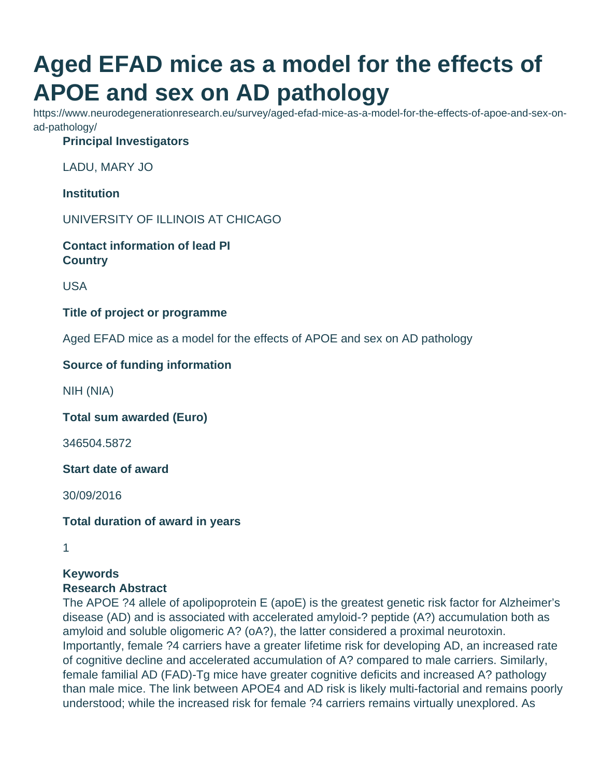# **Aged EFAD mice as a model for the effects of APOE and sex on AD pathology**

https://www.neurodegenerationresearch.eu/survey/aged-efad-mice-as-a-model-for-the-effects-of-apoe-and-sex-onad-pathology/

### **Principal Investigators**

LADU, MARY JO

**Institution**

UNIVERSITY OF ILLINOIS AT CHICAGO

**Contact information of lead PI Country**

USA

**Title of project or programme**

Aged EFAD mice as a model for the effects of APOE and sex on AD pathology

#### **Source of funding information**

NIH (NIA)

**Total sum awarded (Euro)**

346504.5872

**Start date of award**

30/09/2016

**Total duration of award in years**

1

#### **Keywords Research Abstract**

The APOE ?4 allele of apolipoprotein E (apoE) is the greatest genetic risk factor for Alzheimer's disease (AD) and is associated with accelerated amyloid-? peptide (A?) accumulation both as amyloid and soluble oligomeric A? (oA?), the latter considered a proximal neurotoxin. Importantly, female ?4 carriers have a greater lifetime risk for developing AD, an increased rate of cognitive decline and accelerated accumulation of A? compared to male carriers. Similarly, female familial AD (FAD)-Tg mice have greater cognitive deficits and increased A? pathology than male mice. The link between APOE4 and AD risk is likely multi-factorial and remains poorly understood; while the increased risk for female ?4 carriers remains virtually unexplored. As